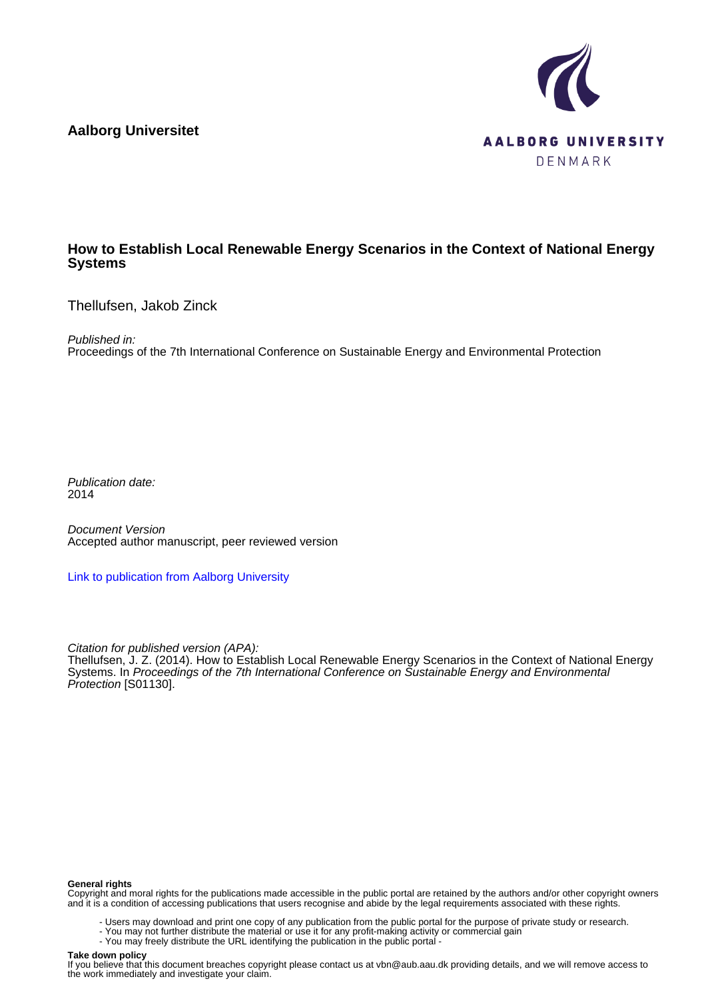**Aalborg Universitet**



#### **How to Establish Local Renewable Energy Scenarios in the Context of National Energy Systems**

Thellufsen, Jakob Zinck

Published in:

Proceedings of the 7th International Conference on Sustainable Energy and Environmental Protection

Publication date: 2014

Document Version Accepted author manuscript, peer reviewed version

[Link to publication from Aalborg University](https://vbn.aau.dk/en/publications/be15eae8-35fe-4e2a-973a-89cffe67c64b)

Citation for published version (APA):

Thellufsen, J. Z. (2014). How to Establish Local Renewable Energy Scenarios in the Context of National Energy Systems. In Proceedings of the 7th International Conference on Sustainable Energy and Environmental Protection [S01130].

#### **General rights**

Copyright and moral rights for the publications made accessible in the public portal are retained by the authors and/or other copyright owners and it is a condition of accessing publications that users recognise and abide by the legal requirements associated with these rights.

- Users may download and print one copy of any publication from the public portal for the purpose of private study or research.
- You may not further distribute the material or use it for any profit-making activity or commercial gain
- You may freely distribute the URL identifying the publication in the public portal -

#### **Take down policy**

If you believe that this document breaches copyright please contact us at vbn@aub.aau.dk providing details, and we will remove access to the work immediately and investigate your claim.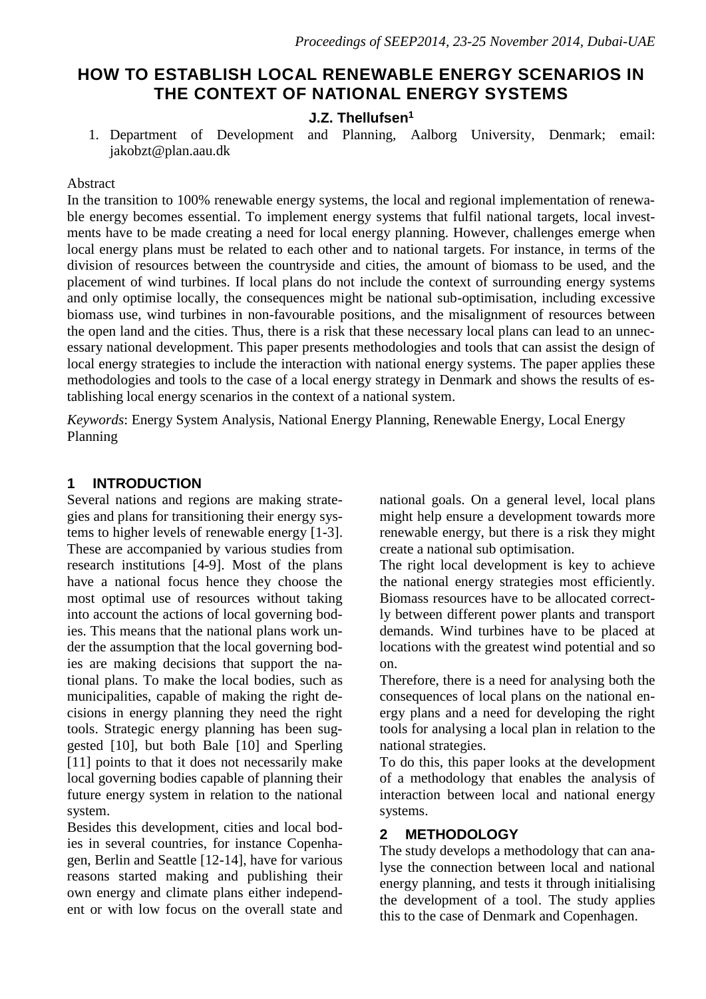# **HOW TO ESTABLISH LOCAL RENEWABLE ENERGY SCENARIOS IN THE CONTEXT OF NATIONAL ENERGY SYSTEMS**

# **J.Z. Thellufsen<sup>1</sup>**

1. Department of Development and Planning, Aalborg University, Denmark; email: jakobzt@plan.aau.dk

#### Abstract

In the transition to 100% renewable energy systems, the local and regional implementation of renewable energy becomes essential. To implement energy systems that fulfil national targets, local investments have to be made creating a need for local energy planning. However, challenges emerge when local energy plans must be related to each other and to national targets. For instance, in terms of the division of resources between the countryside and cities, the amount of biomass to be used, and the placement of wind turbines. If local plans do not include the context of surrounding energy systems and only optimise locally, the consequences might be national sub-optimisation, including excessive biomass use, wind turbines in non-favourable positions, and the misalignment of resources between the open land and the cities. Thus, there is a risk that these necessary local plans can lead to an unnecessary national development. This paper presents methodologies and tools that can assist the design of local energy strategies to include the interaction with national energy systems. The paper applies these methodologies and tools to the case of a local energy strategy in Denmark and shows the results of establishing local energy scenarios in the context of a national system.

*Keywords*: Energy System Analysis, National Energy Planning, Renewable Energy, Local Energy Planning

# **1 INTRODUCTION**

Several nations and regions are making strategies and plans for transitioning their energy systems to higher levels of renewable energy [1-3]. These are accompanied by various studies from research institutions [4-9]. Most of the plans have a national focus hence they choose the most optimal use of resources without taking into account the actions of local governing bodies. This means that the national plans work under the assumption that the local governing bodies are making decisions that support the national plans. To make the local bodies, such as municipalities, capable of making the right decisions in energy planning they need the right tools. Strategic energy planning has been suggested [10], but both Bale [10] and Sperling [11] points to that it does not necessarily make local governing bodies capable of planning their future energy system in relation to the national system.

Besides this development, cities and local bodies in several countries, for instance Copenhagen, Berlin and Seattle [12-14], have for various reasons started making and publishing their own energy and climate plans either independent or with low focus on the overall state and national goals. On a general level, local plans might help ensure a development towards more renewable energy, but there is a risk they might create a national sub optimisation.

The right local development is key to achieve the national energy strategies most efficiently. Biomass resources have to be allocated correctly between different power plants and transport demands. Wind turbines have to be placed at locations with the greatest wind potential and so on.

Therefore, there is a need for analysing both the consequences of local plans on the national energy plans and a need for developing the right tools for analysing a local plan in relation to the national strategies.

To do this, this paper looks at the development of a methodology that enables the analysis of interaction between local and national energy systems.

# **2 METHODOLOGY**

The study develops a methodology that can analyse the connection between local and national energy planning, and tests it through initialising the development of a tool. The study applies this to the case of Denmark and Copenhagen.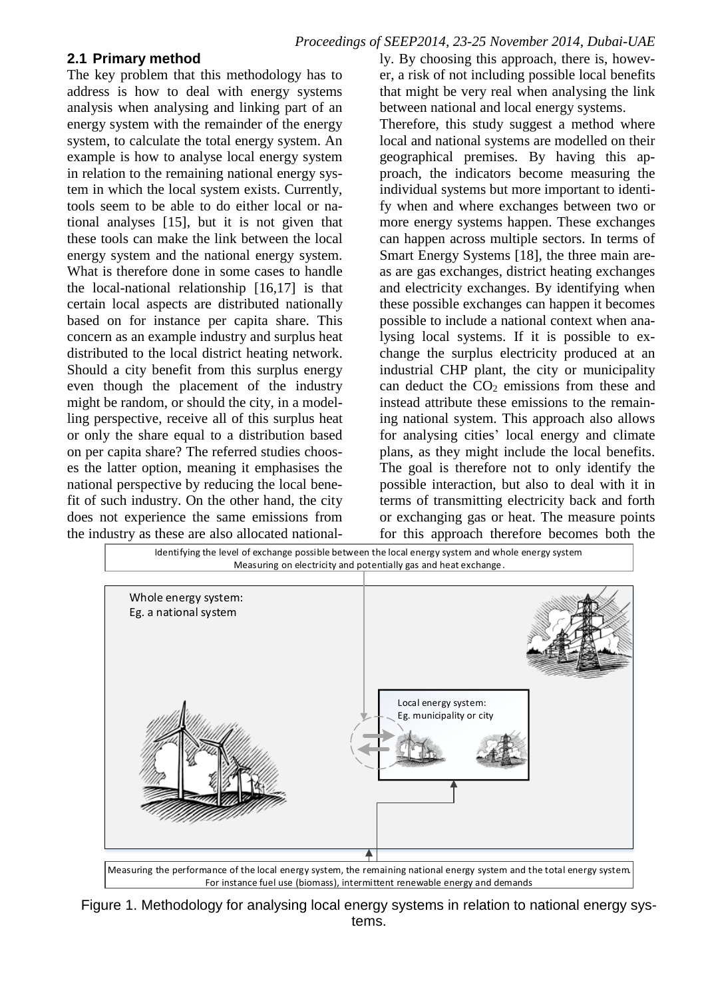#### **2.1 Primary method**

The key problem that this methodology has to address is how to deal with energy systems analysis when analysing and linking part of an energy system with the remainder of the energy system, to calculate the total energy system. An example is how to analyse local energy system in relation to the remaining national energy system in which the local system exists. Currently, tools seem to be able to do either local or national analyses [15], but it is not given that these tools can make the link between the local energy system and the national energy system. What is therefore done in some cases to handle the local-national relationship [16,17] is that certain local aspects are distributed nationally based on for instance per capita share. This concern as an example industry and surplus heat distributed to the local district heating network. Should a city benefit from this surplus energy even though the placement of the industry might be random, or should the city, in a modelling perspective, receive all of this surplus heat or only the share equal to a distribution based on per capita share? The referred studies chooses the latter option, meaning it emphasises the national perspective by reducing the local benefit of such industry. On the other hand, the city does not experience the same emissions from the industry as these are also allocated nationally. By choosing this approach, there is, however, a risk of not including possible local benefits that might be very real when analysing the link between national and local energy systems.

Therefore, this study suggest a method where local and national systems are modelled on their geographical premises. By having this approach, the indicators become measuring the individual systems but more important to identify when and where exchanges between two or more energy systems happen. These exchanges can happen across multiple sectors. In terms of Smart Energy Systems [18], the three main areas are gas exchanges, district heating exchanges and electricity exchanges. By identifying when these possible exchanges can happen it becomes possible to include a national context when analysing local systems. If it is possible to exchange the surplus electricity produced at an industrial CHP plant, the city or municipality can deduct the CO<sup>2</sup> emissions from these and instead attribute these emissions to the remaining national system. This approach also allows for analysing cities' local energy and climate plans, as they might include the local benefits. The goal is therefore not to only identify the possible interaction, but also to deal with it in terms of transmitting electricity back and forth or exchanging gas or heat. The measure points for this approach therefore becomes both the



Figure 1. Methodology for analysing local energy systems in relation to national energy systems.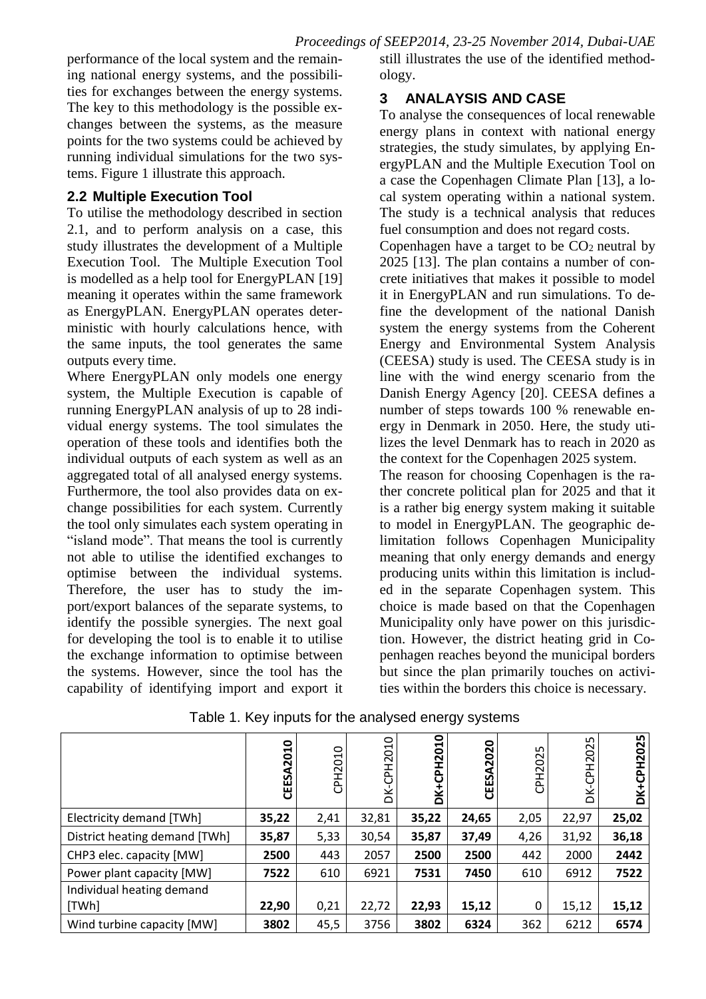performance of the local system and the remaining national energy systems, and the possibilities for exchanges between the energy systems. The key to this methodology is the possible exchanges between the systems, as the measure points for the two systems could be achieved by running individual simulations for the two systems. Figure 1 illustrate this approach.

### **2.2 Multiple Execution Tool**

To utilise the methodology described in section 2.1, and to perform analysis on a case, this study illustrates the development of a Multiple Execution Tool. The Multiple Execution Tool is modelled as a help tool for EnergyPLAN [19] meaning it operates within the same framework as EnergyPLAN. EnergyPLAN operates deterministic with hourly calculations hence, with the same inputs, the tool generates the same outputs every time.

Where EnergyPLAN only models one energy system, the Multiple Execution is capable of running EnergyPLAN analysis of up to 28 individual energy systems. The tool simulates the operation of these tools and identifies both the individual outputs of each system as well as an aggregated total of all analysed energy systems. Furthermore, the tool also provides data on exchange possibilities for each system. Currently the tool only simulates each system operating in "island mode". That means the tool is currently not able to utilise the identified exchanges to optimise between the individual systems. Therefore, the user has to study the import/export balances of the separate systems, to identify the possible synergies. The next goal for developing the tool is to enable it to utilise the exchange information to optimise between the systems. However, since the tool has the capability of identifying import and export it still illustrates the use of the identified methodology.

# **3 ANALAYSIS AND CASE**

To analyse the consequences of local renewable energy plans in context with national energy strategies, the study simulates, by applying EnergyPLAN and the Multiple Execution Tool on a case the Copenhagen Climate Plan [13], a local system operating within a national system. The study is a technical analysis that reduces fuel consumption and does not regard costs.

Copenhagen have a target to be  $CO<sub>2</sub>$  neutral by 2025 [13]. The plan contains a number of concrete initiatives that makes it possible to model it in EnergyPLAN and run simulations. To define the development of the national Danish system the energy systems from the Coherent Energy and Environmental System Analysis (CEESA) study is used. The CEESA study is in line with the wind energy scenario from the Danish Energy Agency [20]. CEESA defines a number of steps towards 100 % renewable energy in Denmark in 2050. Here, the study utilizes the level Denmark has to reach in 2020 as the context for the Copenhagen 2025 system.

The reason for choosing Copenhagen is the rather concrete political plan for 2025 and that it is a rather big energy system making it suitable to model in EnergyPLAN. The geographic delimitation follows Copenhagen Municipality meaning that only energy demands and energy producing units within this limitation is included in the separate Copenhagen system. This choice is made based on that the Copenhagen Municipality only have power on this jurisdiction. However, the district heating grid in Copenhagen reaches beyond the municipal borders but since the plan primarily touches on activities within the borders this choice is necessary.

|                               | A2010<br>ပ္မ<br>핑 | CPH2010 | PH2010<br>š | <b>DK+CPH2010</b> | CEESA2020 | CPH2025 | ഗ<br>8<br>Ē<br>ᅀ<br>Ⴃ | <b>DK+CPH2025</b> |
|-------------------------------|-------------------|---------|-------------|-------------------|-----------|---------|-----------------------|-------------------|
| Electricity demand [TWh]      | 35,22             | 2,41    | 32,81       | 35,22             | 24,65     | 2,05    | 22,97                 | 25,02             |
| District heating demand [TWh] | 35,87             | 5,33    | 30,54       | 35,87             | 37,49     | 4,26    | 31,92                 | 36,18             |
| CHP3 elec. capacity [MW]      | 2500              | 443     | 2057        | 2500              | 2500      | 442     | 2000                  | 2442              |
| Power plant capacity [MW]     | 7522              | 610     | 6921        | 7531              | 7450      | 610     | 6912                  | 7522              |
| Individual heating demand     |                   |         |             |                   |           |         |                       |                   |
| [TWh]                         | 22,90             | 0,21    | 22,72       | 22,93             | 15,12     | 0       | 15,12                 | 15,12             |
| Wind turbine capacity [MW]    | 3802              | 45,5    | 3756        | 3802              | 6324      | 362     | 6212                  | 6574              |

Table 1. Key inputs for the analysed energy systems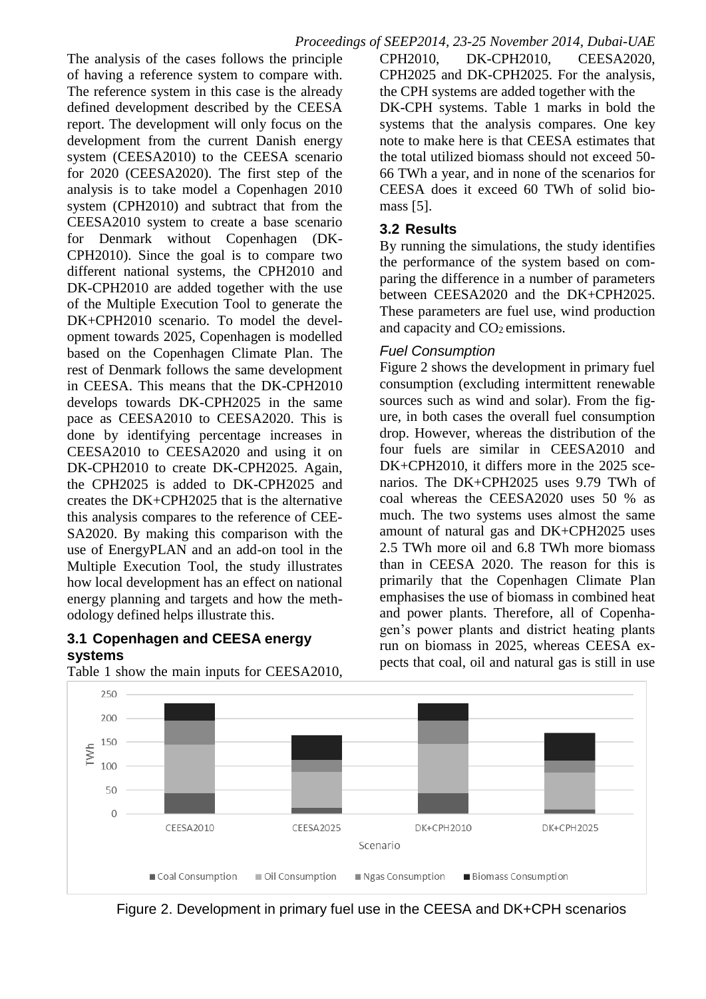The analysis of the cases follows the principle of having a reference system to compare with. The reference system in this case is the already defined development described by the CEESA report. The development will only focus on the development from the current Danish energy system (CEESA2010) to the CEESA scenario for 2020 (CEESA2020). The first step of the analysis is to take model a Copenhagen 2010 system (CPH2010) and subtract that from the CEESA2010 system to create a base scenario for Denmark without Copenhagen (DK-CPH2010). Since the goal is to compare two different national systems, the CPH2010 and DK-CPH2010 are added together with the use of the Multiple Execution Tool to generate the DK+CPH2010 scenario. To model the development towards 2025, Copenhagen is modelled based on the Copenhagen Climate Plan. The rest of Denmark follows the same development in CEESA. This means that the DK-CPH2010 develops towards DK-CPH2025 in the same pace as CEESA2010 to CEESA2020. This is done by identifying percentage increases in CEESA2010 to CEESA2020 and using it on DK-CPH2010 to create DK-CPH2025. Again, the CPH2025 is added to DK-CPH2025 and creates the DK+CPH2025 that is the alternative this analysis compares to the reference of CEE-SA2020. By making this comparison with the use of EnergyPLAN and an add-on tool in the Multiple Execution Tool, the study illustrates how local development has an effect on national energy planning and targets and how the methodology defined helps illustrate this.

#### **3.1 Copenhagen and CEESA energy systems**

Table 1 show the main inputs for CEESA2010,

CPH2010, DK-CPH2010, CEESA2020, CPH2025 and DK-CPH2025. For the analysis, the CPH systems are added together with the DK-CPH systems. Table 1 marks in bold the systems that the analysis compares. One key note to make here is that CEESA estimates that the total utilized biomass should not exceed 50- 66 TWh a year, and in none of the scenarios for CEESA does it exceed 60 TWh of solid biomass [5].

### **3.2 Results**

By running the simulations, the study identifies the performance of the system based on comparing the difference in a number of parameters between CEESA2020 and the DK+CPH2025. These parameters are fuel use, wind production and capacity and  $CO<sub>2</sub>$  emissions.

# *Fuel Consumption*

Figure 2 shows the development in primary fuel consumption (excluding intermittent renewable sources such as wind and solar). From the figure, in both cases the overall fuel consumption drop. However, whereas the distribution of the four fuels are similar in CEESA2010 and DK+CPH2010, it differs more in the 2025 scenarios. The DK+CPH2025 uses 9.79 TWh of coal whereas the CEESA2020 uses 50 % as much. The two systems uses almost the same amount of natural gas and DK+CPH2025 uses 2.5 TWh more oil and 6.8 TWh more biomass than in CEESA 2020. The reason for this is primarily that the Copenhagen Climate Plan emphasises the use of biomass in combined heat and power plants. Therefore, all of Copenhagen's power plants and district heating plants run on biomass in 2025, whereas CEESA expects that coal, oil and natural gas is still in use



Figure 2. Development in primary fuel use in the CEESA and DK+CPH scenarios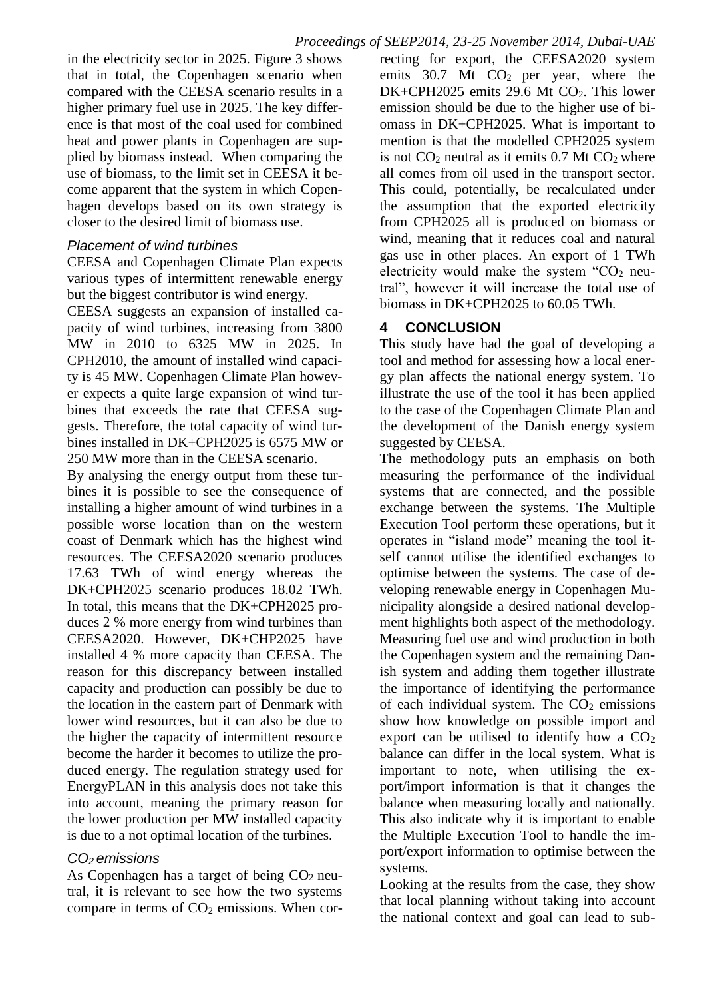in the electricity sector in 2025. Figure 3 shows that in total, the Copenhagen scenario when compared with the CEESA scenario results in a higher primary fuel use in 2025. The key difference is that most of the coal used for combined heat and power plants in Copenhagen are supplied by biomass instead. When comparing the use of biomass, to the limit set in CEESA it become apparent that the system in which Copenhagen develops based on its own strategy is closer to the desired limit of biomass use.

### *Placement of wind turbines*

CEESA and Copenhagen Climate Plan expects various types of intermittent renewable energy but the biggest contributor is wind energy.

CEESA suggests an expansion of installed capacity of wind turbines, increasing from 3800 MW in 2010 to 6325 MW in 2025. In CPH2010, the amount of installed wind capacity is 45 MW. Copenhagen Climate Plan however expects a quite large expansion of wind turbines that exceeds the rate that CEESA suggests. Therefore, the total capacity of wind turbines installed in DK+CPH2025 is 6575 MW or 250 MW more than in the CEESA scenario.

By analysing the energy output from these turbines it is possible to see the consequence of installing a higher amount of wind turbines in a possible worse location than on the western coast of Denmark which has the highest wind resources. The CEESA2020 scenario produces 17.63 TWh of wind energy whereas the DK+CPH2025 scenario produces 18.02 TWh. In total, this means that the DK+CPH2025 produces 2 % more energy from wind turbines than CEESA2020. However, DK+CHP2025 have installed 4 % more capacity than CEESA. The reason for this discrepancy between installed capacity and production can possibly be due to the location in the eastern part of Denmark with lower wind resources, but it can also be due to the higher the capacity of intermittent resource become the harder it becomes to utilize the produced energy. The regulation strategy used for EnergyPLAN in this analysis does not take this into account, meaning the primary reason for the lower production per MW installed capacity is due to a not optimal location of the turbines.

### *CO2 emissions*

As Copenhagen has a target of being  $CO<sub>2</sub>$  neutral, it is relevant to see how the two systems compare in terms of  $CO<sub>2</sub>$  emissions. When correcting for export, the CEESA2020 system emits  $30.7$  Mt  $CO<sub>2</sub>$  per year, where the DK+CPH2025 emits 29.6 Mt CO<sub>2</sub>. This lower emission should be due to the higher use of biomass in DK+CPH2025. What is important to mention is that the modelled CPH2025 system is not  $CO<sub>2</sub>$  neutral as it emits 0.7 Mt  $CO<sub>2</sub>$  where all comes from oil used in the transport sector. This could, potentially, be recalculated under the assumption that the exported electricity from CPH2025 all is produced on biomass or wind, meaning that it reduces coal and natural gas use in other places. An export of 1 TWh electricity would make the system " $CO<sub>2</sub>$  neutral", however it will increase the total use of biomass in DK+CPH2025 to 60.05 TWh.

# **4 CONCLUSION**

This study have had the goal of developing a tool and method for assessing how a local energy plan affects the national energy system. To illustrate the use of the tool it has been applied to the case of the Copenhagen Climate Plan and the development of the Danish energy system suggested by CEESA.

The methodology puts an emphasis on both measuring the performance of the individual systems that are connected, and the possible exchange between the systems. The Multiple Execution Tool perform these operations, but it operates in "island mode" meaning the tool itself cannot utilise the identified exchanges to optimise between the systems. The case of developing renewable energy in Copenhagen Municipality alongside a desired national development highlights both aspect of the methodology. Measuring fuel use and wind production in both the Copenhagen system and the remaining Danish system and adding them together illustrate the importance of identifying the performance of each individual system. The  $CO<sub>2</sub>$  emissions show how knowledge on possible import and export can be utilised to identify how a  $CO<sub>2</sub>$ balance can differ in the local system. What is important to note, when utilising the export/import information is that it changes the balance when measuring locally and nationally. This also indicate why it is important to enable the Multiple Execution Tool to handle the import/export information to optimise between the systems.

Looking at the results from the case, they show that local planning without taking into account the national context and goal can lead to sub-